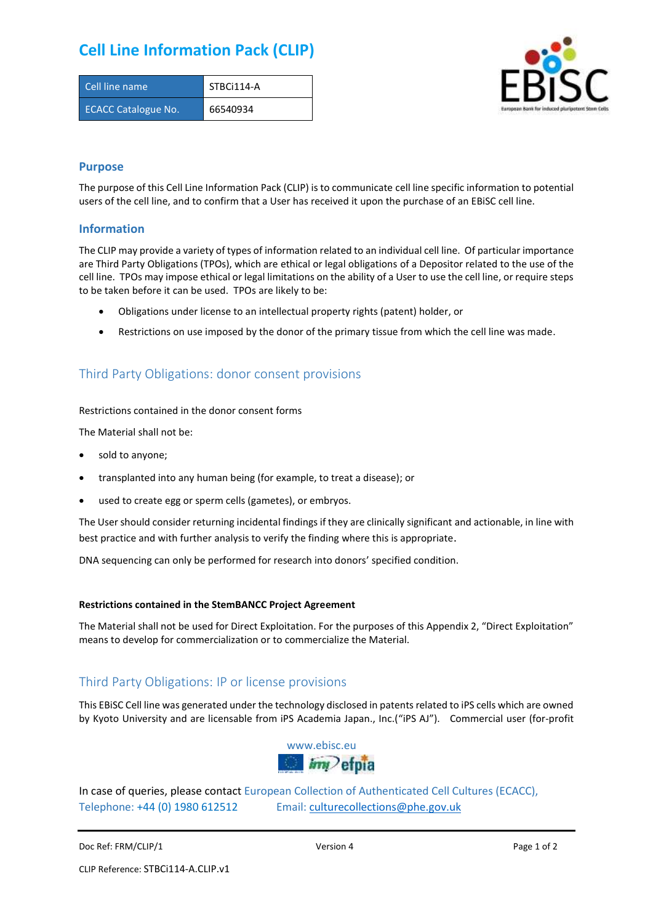# **Cell Line Information Pack (CLIP)**

| Cell line name             | STBCi114-A |
|----------------------------|------------|
| <b>ECACC Catalogue No.</b> | 66540934   |



### **Purpose**

The purpose of this Cell Line Information Pack (CLIP) is to communicate cell line specific information to potential users of the cell line, and to confirm that a User has received it upon the purchase of an EBiSC cell line.

### **Information**

The CLIP may provide a variety of types of information related to an individual cell line. Of particular importance are Third Party Obligations (TPOs), which are ethical or legal obligations of a Depositor related to the use of the cell line. TPOs may impose ethical or legal limitations on the ability of a User to use the cell line, or require steps to be taken before it can be used. TPOs are likely to be:

- Obligations under license to an intellectual property rights (patent) holder, or
- Restrictions on use imposed by the donor of the primary tissue from which the cell line was made.

## Third Party Obligations: donor consent provisions

#### Restrictions contained in the donor consent forms

The Material shall not be:

- sold to anyone;
- transplanted into any human being (for example, to treat a disease); or
- used to create egg or sperm cells (gametes), or embryos.

The User should consider returning incidental findings if they are clinically significant and actionable, in line with best practice and with further analysis to verify the finding where this is appropriate.

DNA sequencing can only be performed for research into donors' specified condition.

#### **Restrictions contained in the StemBANCC Project Agreement**

The Material shall not be used for Direct Exploitation. For the purposes of this Appendix 2, "Direct Exploitation" means to develop for commercialization or to commercialize the Material.

## Third Party Obligations: IP or license provisions

This EBiSC Cell line was generated under the technology disclosed in patents related to iPS cells which are owned by Kyoto University and are licensable from iPS Academia Japan., Inc.("iPS AJ"). Commercial user (for-profit



In case of queries, please contact European Collection of Authenticated Cell Cultures (ECACC), Telephone: +44 (0) 1980 612512 Email: [culturecollections@phe.gov.uk](mailto:culturecollections@phe.gov.uk)

Doc Ref: FRM/CLIP/1 **Docessition 2** Page 1 of 2